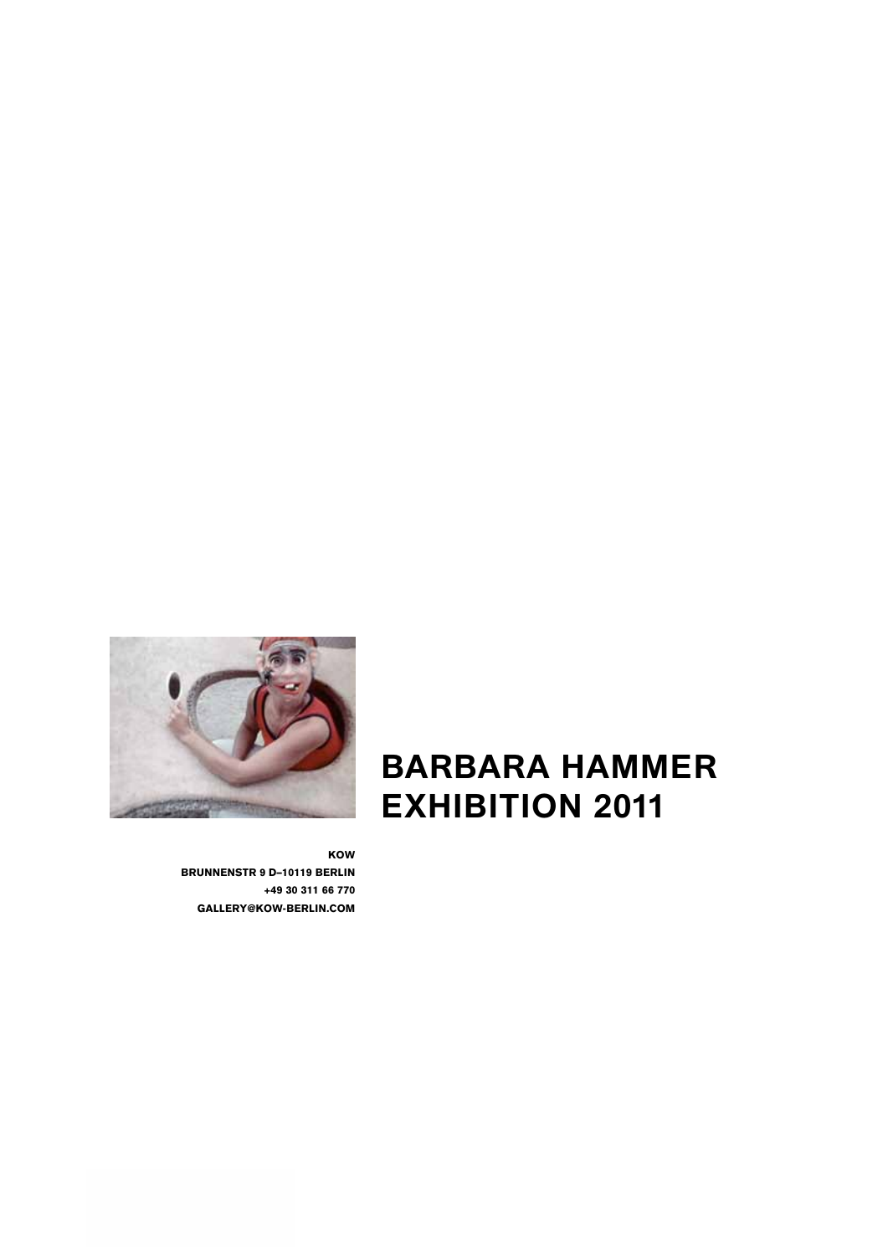

**BARBARA HAMMER EXHIBITION 2011**

KOW BRUNNENSTR 9 D–10119 BERLIN +49 30 311 66 770 GALLERY@KOW-BERLIN.COM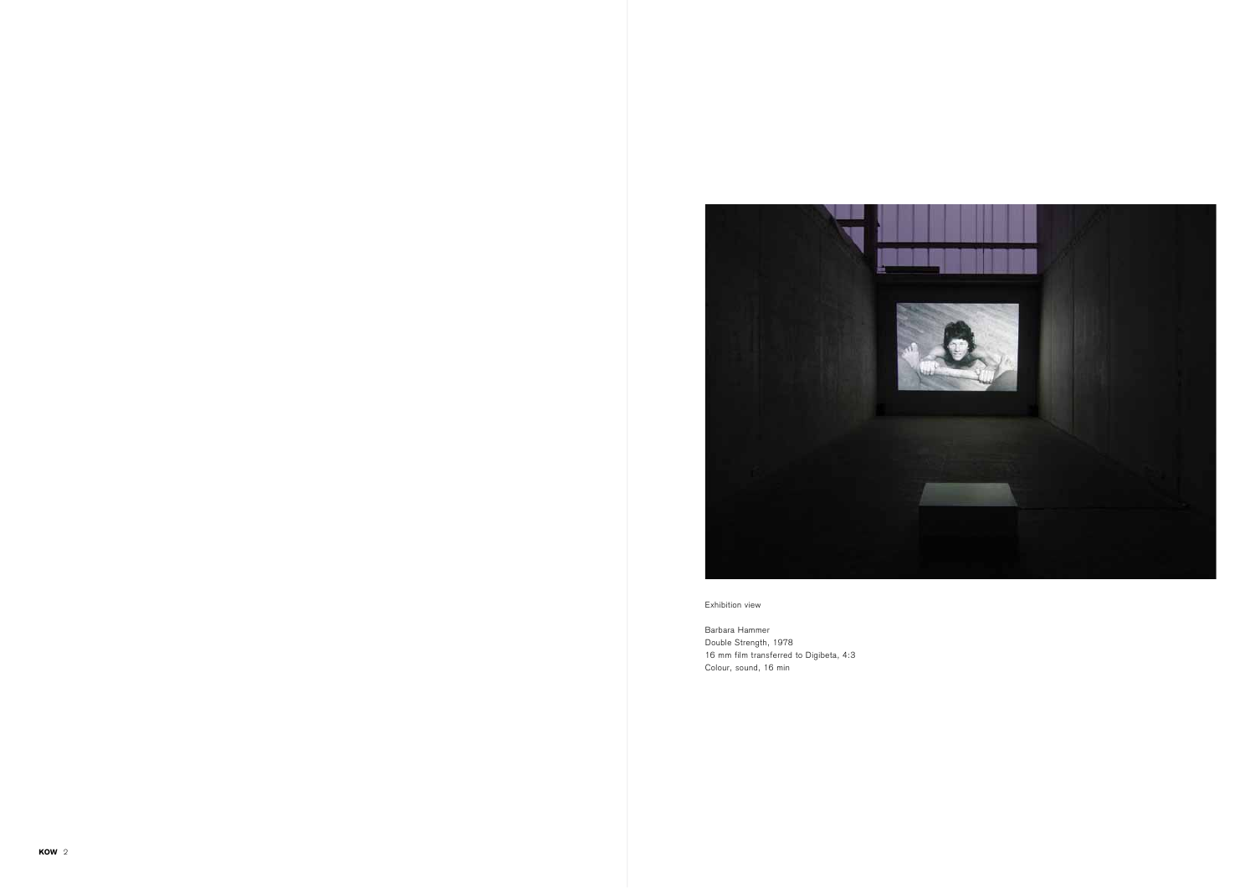

Exhibition view

Barbara Hammer Double Strength, 1978 16 mm film transferred to Digibeta, 4:3 Colour, sound, 16 min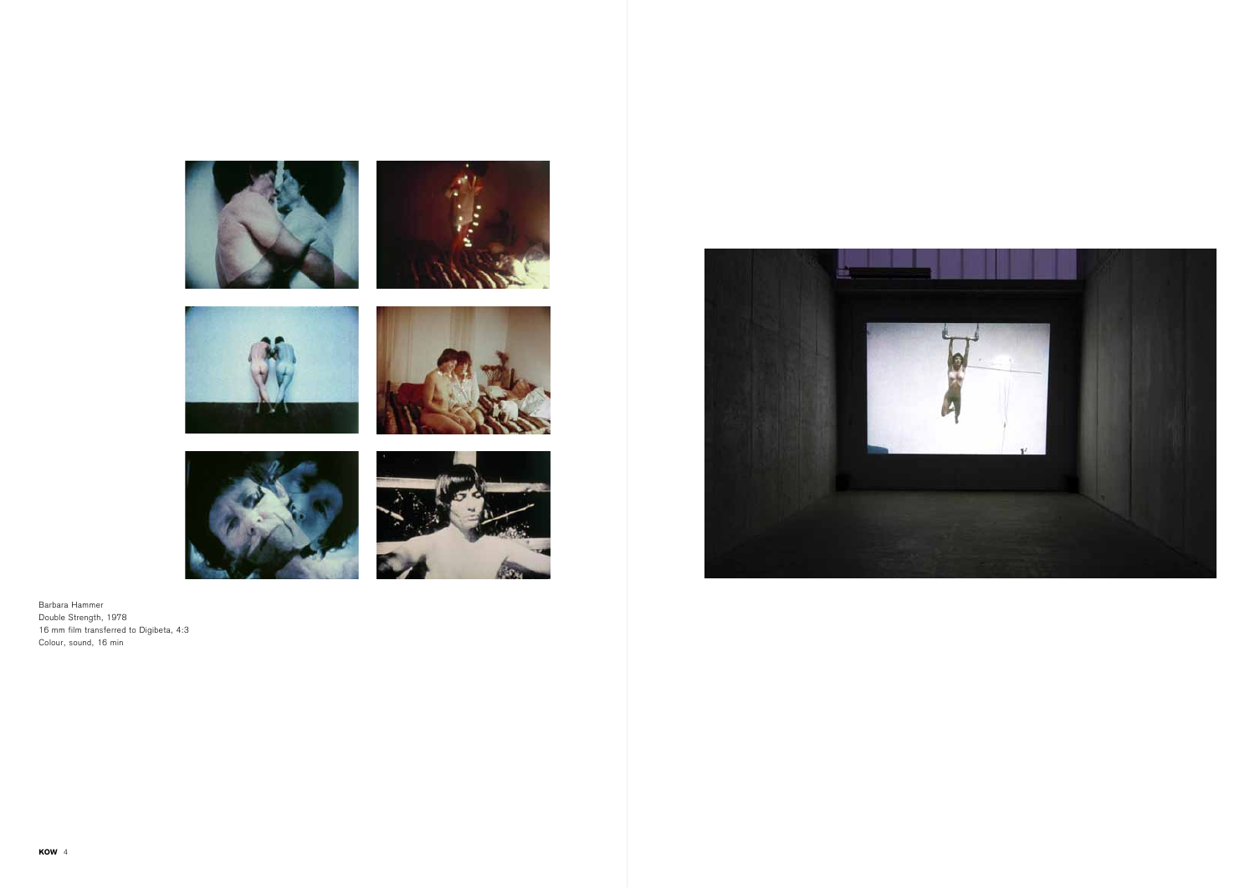









Barbara Hammer Double Strength, 1978 16 mm film transferred to Digibeta, 4:3 Colour, sound, 16 min

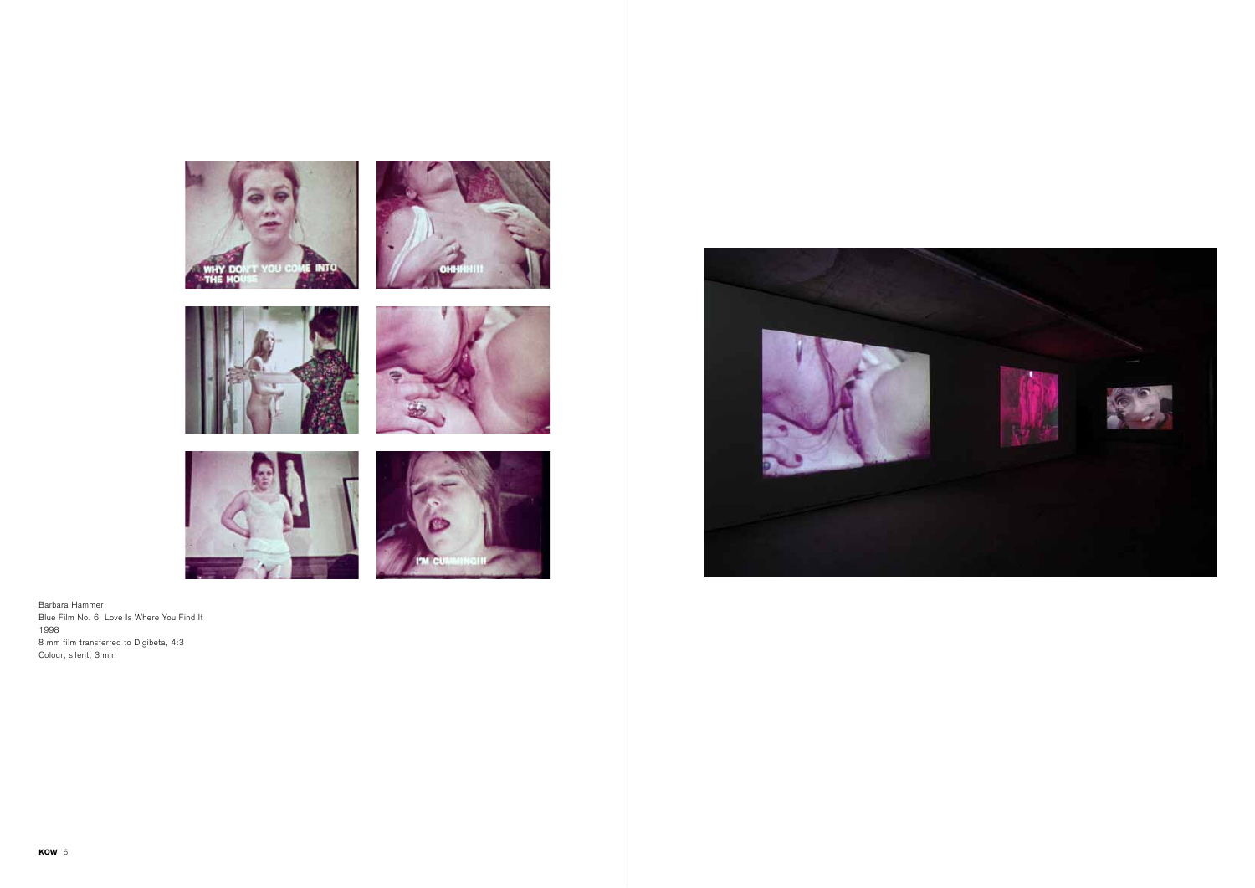











Barbara Hammer Blue Film No. 6: Love Is Where You Find It 1998 8 mm film transferred to Digibeta, 4:3 Colour, silent, 3 min

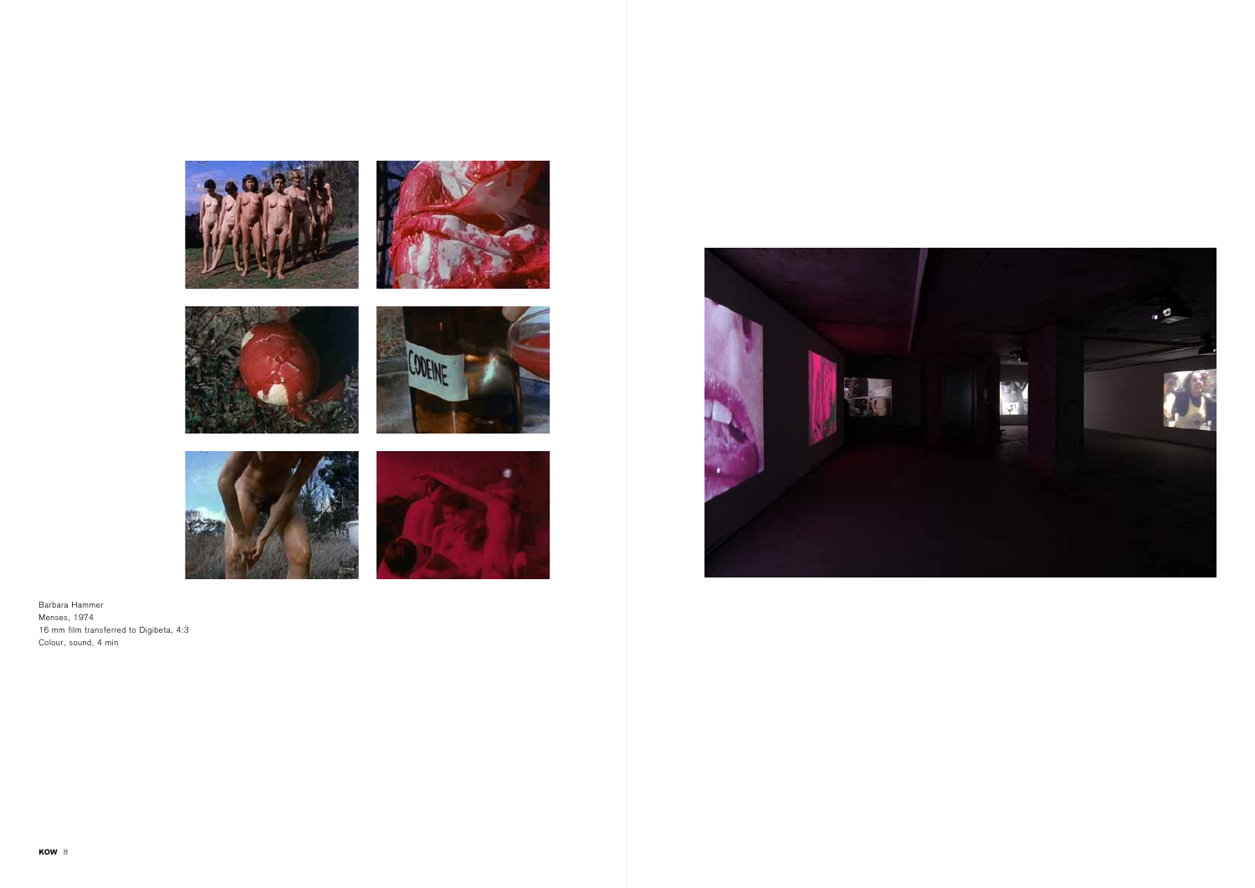











Barbara Hammer Menses, 1974 16 mm film transferred to Digibeta, 4:3 Colour, sound, 4 min



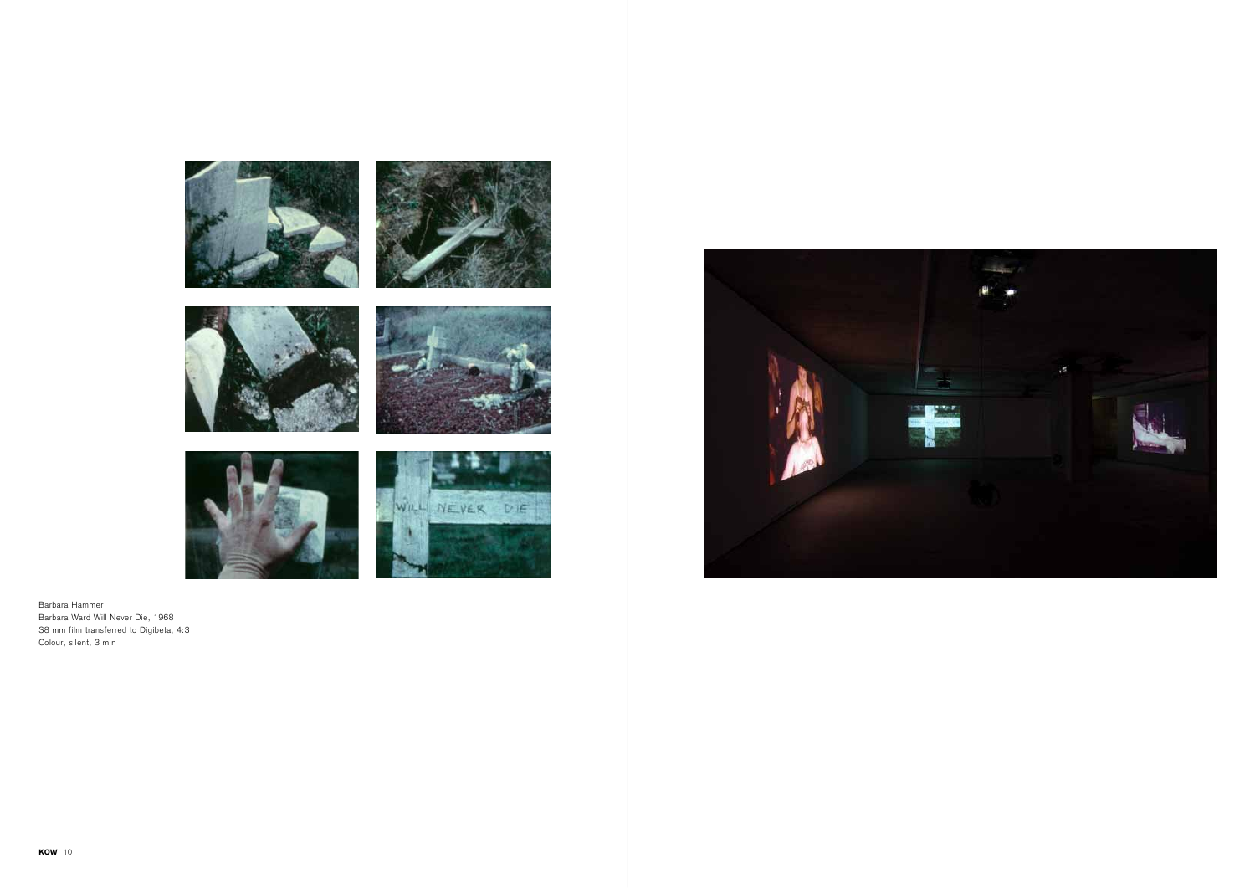

Barbara Hammer Barbara Ward Will Never Die, 1968 S8 mm film transferred to Digibeta, 4:3 Colour, silent, 3 min

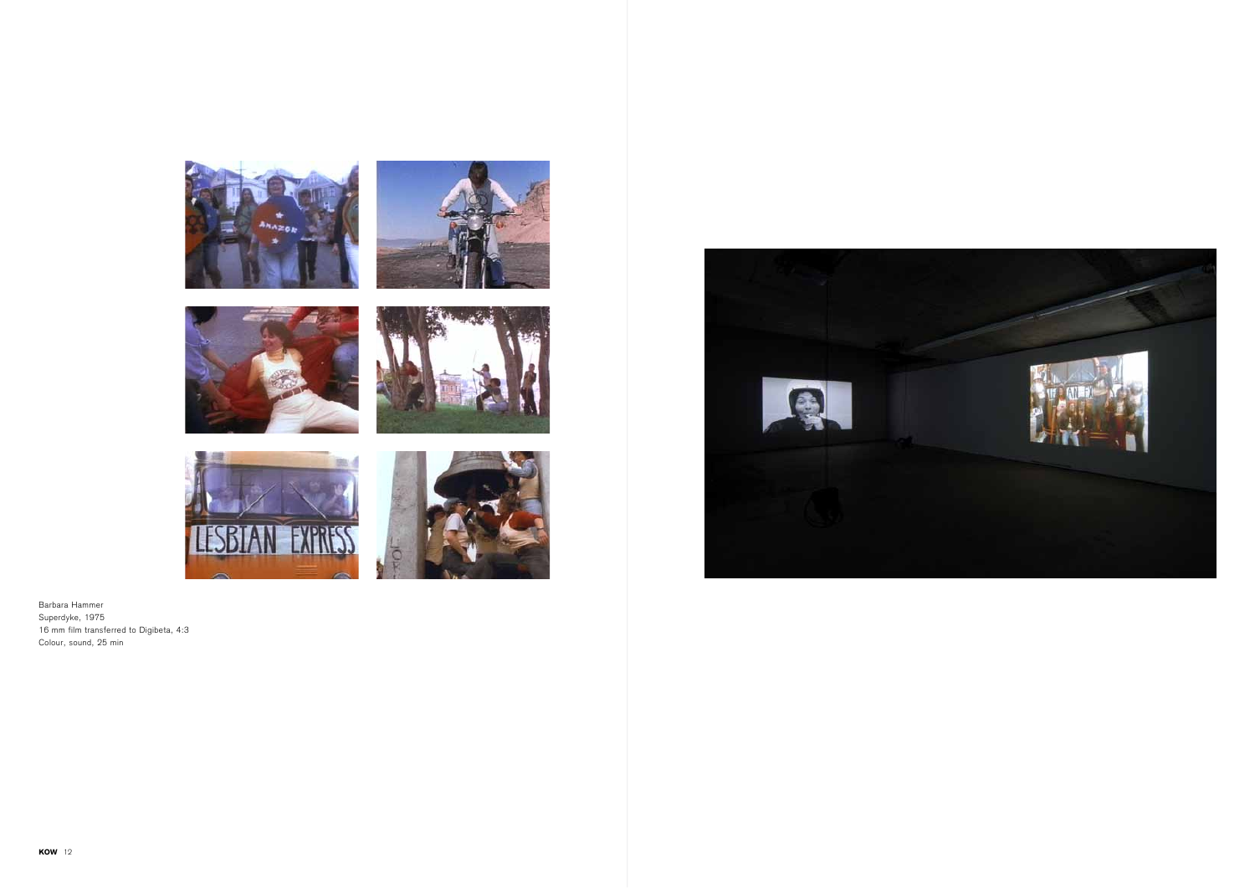











Barbara Hammer Superdyke, 1975 16 mm film transferred to Digibeta, 4:3 Colour, sound, 25 min

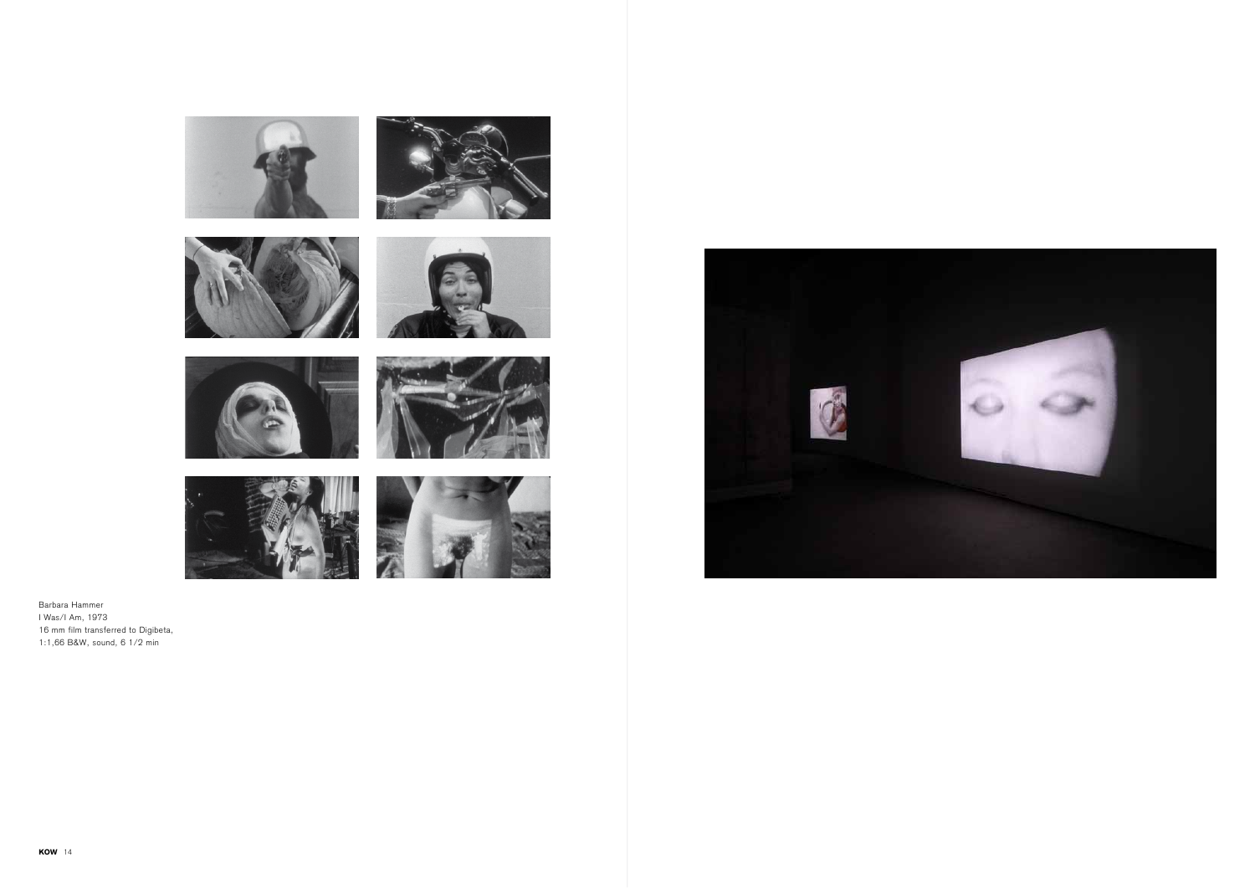













Barbara Hammer I Was/I Am, 1973 16 mm film transferred to Digibeta, 1:1,66 B&W, sound, 6 1/2 min



![](_page_7_Picture_10.jpeg)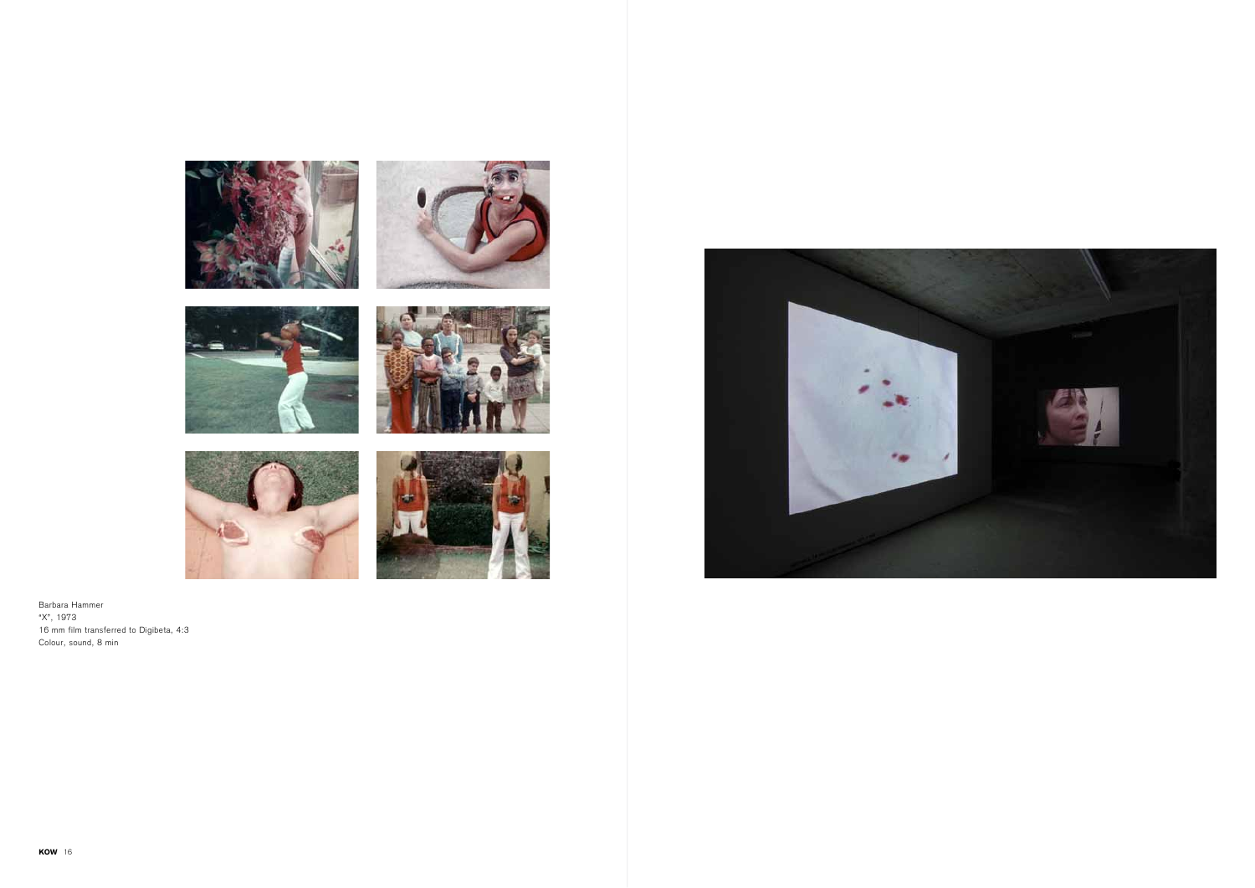![](_page_8_Picture_0.jpeg)

![](_page_8_Picture_1.jpeg)

![](_page_8_Picture_2.jpeg)

![](_page_8_Picture_3.jpeg)

![](_page_8_Picture_4.jpeg)

![](_page_8_Picture_5.jpeg)

Barbara Hammer "X", 1973 16 mm film transferred to Digibeta, 4:3 Colour, sound, 8 min

![](_page_8_Picture_7.jpeg)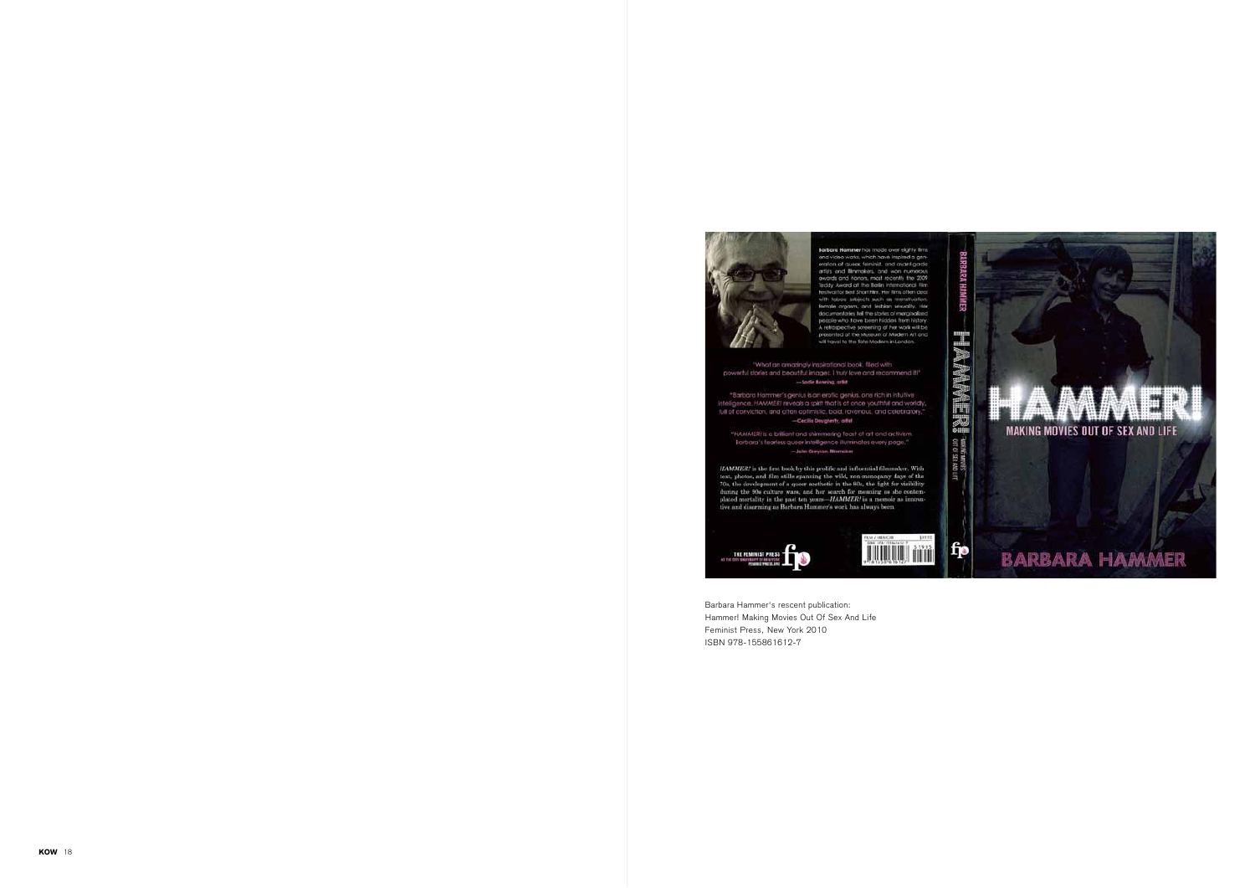![](_page_9_Picture_6.jpeg)

Barbara Hammer's rescent publication: Hammer! Making Movies Out Of Sex And Life Feminist Press, New York 2010 ISBN 978-155861612-7